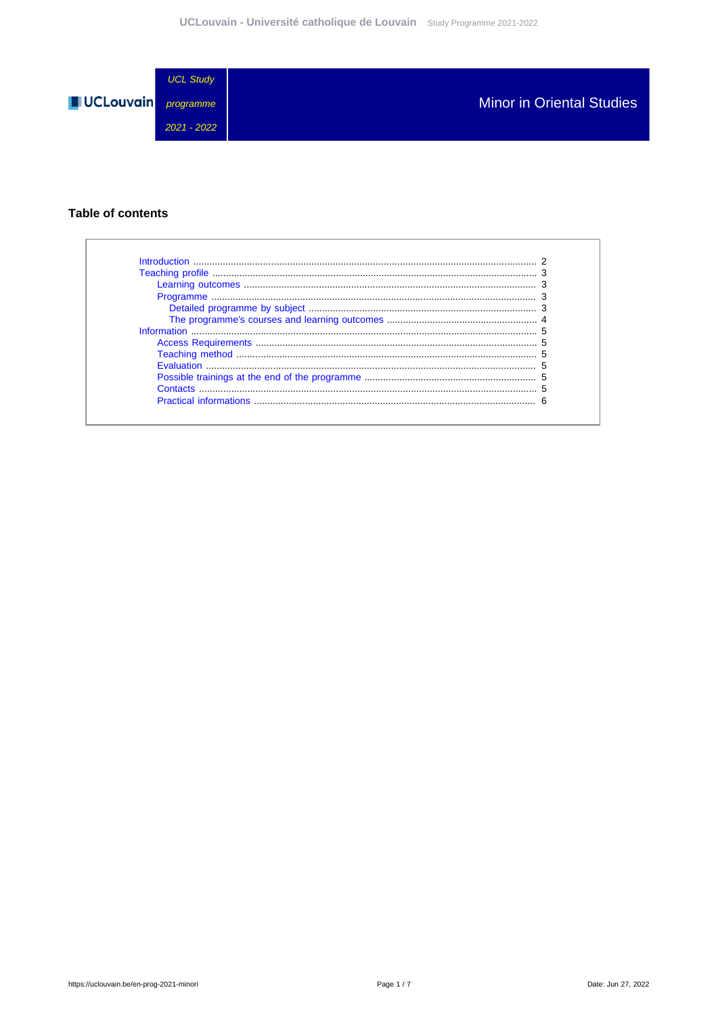

### **Table of contents**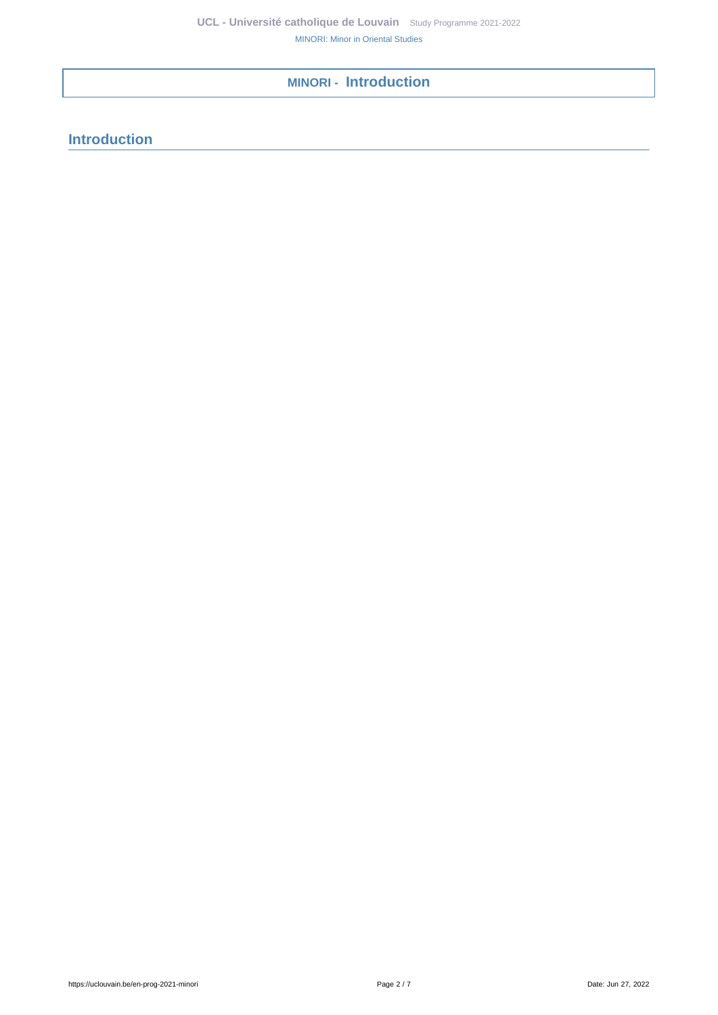# <span id="page-1-0"></span>**MINORI - Introduction**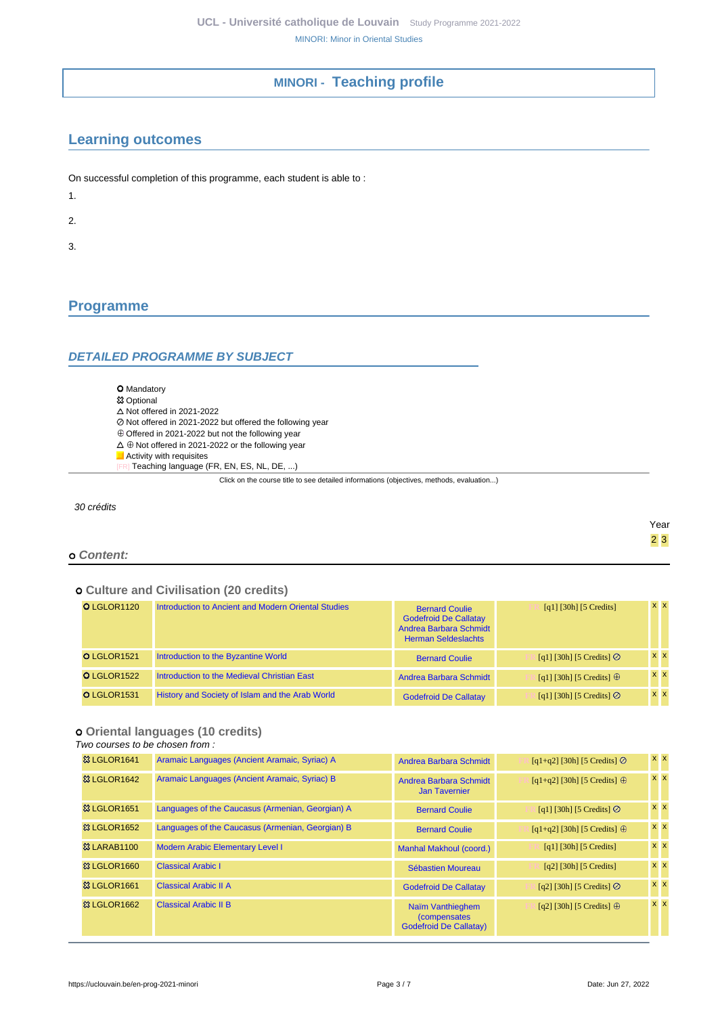## **MINORI - Teaching profile**

## <span id="page-2-1"></span><span id="page-2-0"></span>**Learning outcomes**

On successful completion of this programme, each student is able to :

1.

2.

3.

# <span id="page-2-2"></span>**Programme**

### <span id="page-2-3"></span>**DETAILED PROGRAMME BY SUBJECT**

O Mandatory

#### **<sup>83</sup> Optional**

- $\Delta$  Not offered in 2021-2022
- Not offered in 2021-2022 but offered the following year
- $\oplus$  Offered in 2021-2022 but not the following year
- $\Delta\,\oplus$  Not offered in 2021-2022 or the following year
- **Activity with requisites**
- R] Teaching language (FR, EN, ES, NL, DE, ...)

Click on the course title to see detailed informations (objectives, methods, evaluation...)

30 crédits

#### **Content:**

#### **Culture and Civilisation (20 credits)**

| O LGLOR1120 | Introduction to Ancient and Modern Oriental Studies | <b>Bernard Coulie</b><br><b>Godefroid De Callatay</b><br>Andrea Barbara Schmidt<br><b>Herman Seldeslachts</b> | $[q1]$ [30h] [5 Credits]         | $x \times$ |  |
|-------------|-----------------------------------------------------|---------------------------------------------------------------------------------------------------------------|----------------------------------|------------|--|
| O LGLOR1521 | Introduction to the Byzantine World                 | <b>Bernard Coulie</b>                                                                                         | [q1] [30h] [5 Credits] $\oslash$ | $x \times$ |  |
| O LGLOR1522 | Introduction to the Medieval Christian East         | Andrea Barbara Schmidt                                                                                        | [q1] [30h] [5 Credits] $\oplus$  | $x \times$ |  |
| O LGLOR1531 | History and Society of Islam and the Arab World     | <b>Godefroid De Callatay</b>                                                                                  | [q1] [30h] [5 Credits] $\odot$   | $x \times$ |  |

### **Oriental languages (10 credits)**

Two courses to be chosen from :

| 83 LGLOR1641            | Aramaic Languages (Ancient Aramaic, Syriac) A    | Andrea Barbara Schmidt                                                    | $[q1+q2]$ [30h] [5 Credits] $\odot$  | $x \times$ |
|-------------------------|--------------------------------------------------|---------------------------------------------------------------------------|--------------------------------------|------------|
| 83 LGLOR1642            | Aramaic Languages (Ancient Aramaic, Syriac) B    | Andrea Barbara Schmidt<br><b>Jan Tavernier</b>                            | $[q1+q2]$ [30h] [5 Credits] $\oplus$ | $x \times$ |
| 83 LGLOR1651            | Languages of the Caucasus (Armenian, Georgian) A | <b>Bernard Coulie</b>                                                     | [q1] [30h] [5 Credits] $\odot$       | $x \times$ |
| <b>&amp; LGLOR1652</b>  | Languages of the Caucasus (Armenian, Georgian) B | <b>Bernard Coulie</b>                                                     | $[q1+q2]$ [30h] [5 Credits] $\oplus$ | $x \times$ |
| <b>&amp;3 LARAB1100</b> | <b>Modern Arabic Elementary Level I</b>          | <b>Manhal Makhoul (coord.)</b>                                            | [q1] [30h] [5 Credits]               | $x \, x$   |
| 33 LGLOR1660            | <b>Classical Arabic I</b>                        | Sébastien Moureau                                                         | $[q2]$ [30h] [5 Credits]             | $x \, x$   |
| 33 LGLOR1661            | <b>Classical Arabic II A</b>                     | <b>Godefroid De Callatay</b>                                              | [q2] [30h] [5 Credits] $\odot$       | $x \mid x$ |
| <b>&amp; LGLOR1662</b>  | <b>Classical Arabic II B</b>                     | Naïm Vanthieghem<br><i>(compensates)</i><br><b>Godefroid De Callatay)</b> | [q2] [30h] [5 Credits] $\oplus$      | $x \mid x$ |

Year 2 3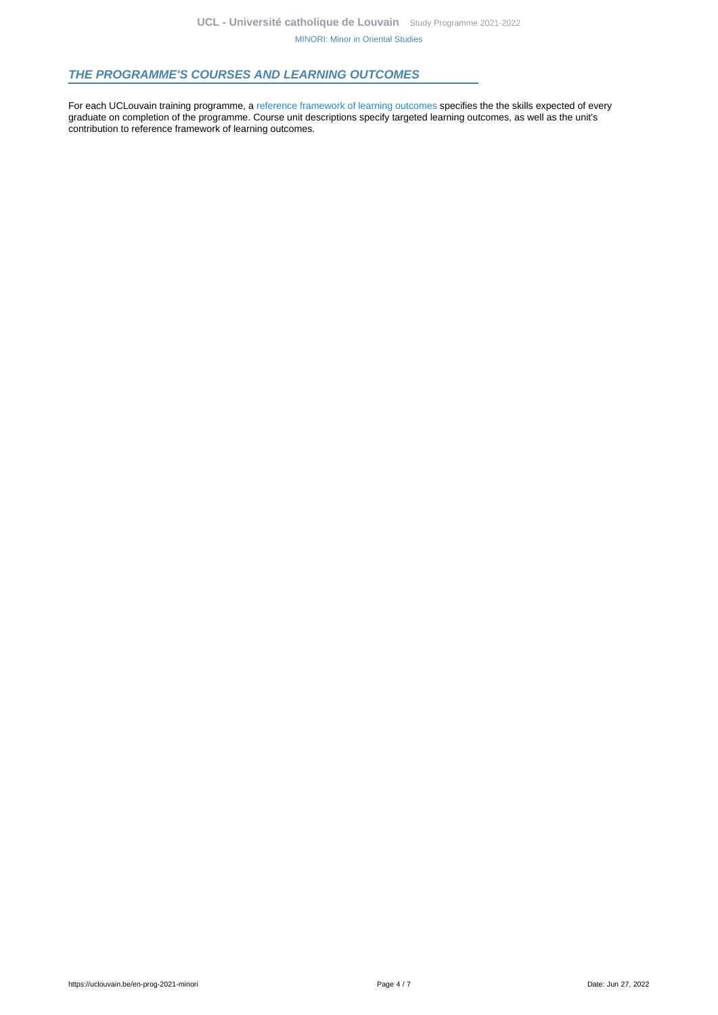### <span id="page-3-0"></span>**THE PROGRAMME'S COURSES AND LEARNING OUTCOMES**

For each UCLouvain training programme, a [reference framework of learning outcomes](https://uclouvain.be/en-prog-2021-minori-competences_et_acquis.html) specifies the the skills expected of every graduate on completion of the programme. Course unit descriptions specify targeted learning outcomes, as well as the unit's contribution to reference framework of learning outcomes.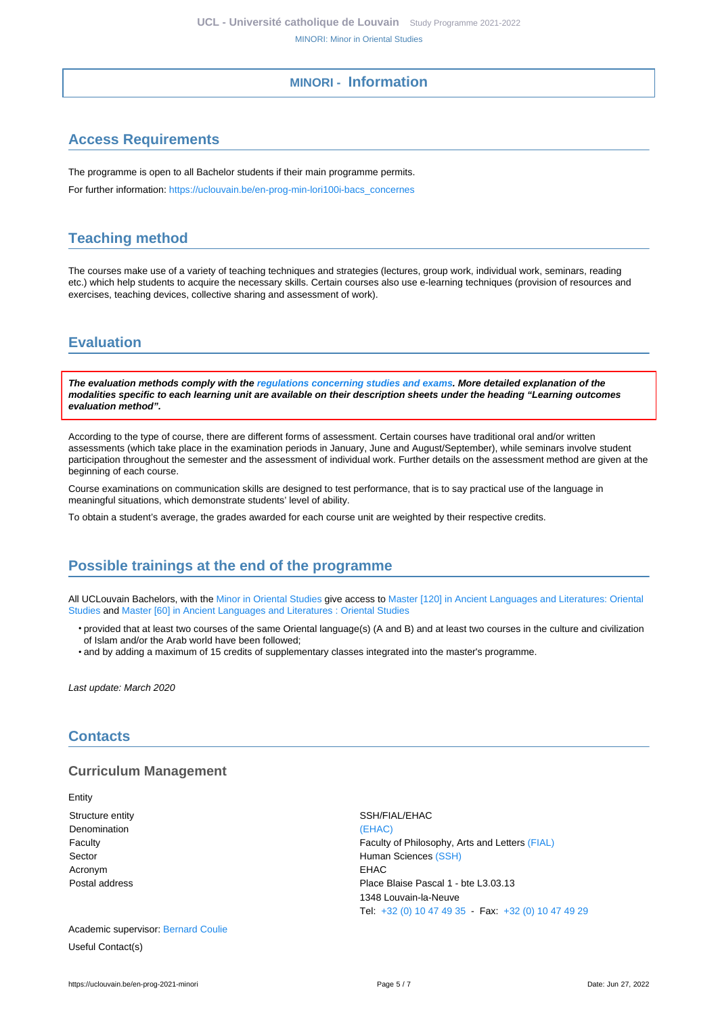### **MINORI - Information**

## <span id="page-4-1"></span><span id="page-4-0"></span>**Access Requirements**

The programme is open to all Bachelor students if their main programme permits.

For further information: [https://uclouvain.be/en-prog-min-lori100i-bacs\\_concernes](https://uclouvain.be/en-prog-min-lori100i-bacs_concernes)

## <span id="page-4-2"></span>**Teaching method**

The courses make use of a variety of teaching techniques and strategies (lectures, group work, individual work, seminars, reading etc.) which help students to acquire the necessary skills. Certain courses also use e-learning techniques (provision of resources and exercises, teaching devices, collective sharing and assessment of work).

# <span id="page-4-3"></span>**Evaluation**

**The evaluation methods comply with the [regulations concerning studies and exams](https://uclouvain.be/fr/decouvrir/rgee.html). More detailed explanation of the modalities specific to each learning unit are available on their description sheets under the heading "Learning outcomes evaluation method".**

According to the type of course, there are different forms of assessment. Certain courses have traditional oral and/or written assessments (which take place in the examination periods in January, June and August/September), while seminars involve student participation throughout the semester and the assessment of individual work. Further details on the assessment method are given at the beginning of each course.

Course examinations on communication skills are designed to test performance, that is to say practical use of the language in meaningful situations, which demonstrate students' level of ability.

To obtain a student's average, the grades awarded for each course unit are weighted by their respective credits.

## <span id="page-4-4"></span>**Possible trainings at the end of the programme**

All UCLouvain Bachelors, with the [Minor in Oriental Studies](https://uclouvain.be/en-prog-2021-minori) give access to [Master \[120\] in Ancient Languages and Literatures: Oriental](https://uclouvain.be/en-prog-2021-hori2m) [Studies](https://uclouvain.be/en-prog-2021-hori2m) and [Master \[60\] in Ancient Languages and Literatures : Oriental Studies](https://uclouvain.be/en-prog-2021-hori2m1)

- provided that at least two courses of the same Oriental language(s) (A and B) and at least two courses in the culture and civilization of Islam and/or the Arab world have been followed;
- and by adding a maximum of 15 credits of supplementary classes integrated into the master's programme.

Last update: March 2020

### <span id="page-4-5"></span>**Contacts**

### **Curriculum Management**

Entity Structure entity SSH/FIAL/EHAC Denomination [\(EHAC\)](https://uclouvain.be/repertoires/entites/ehac) Acronym EHAC

Faculty Faculty of Philosophy, Arts and Letters [\(FIAL\)](https://uclouvain.be/repertoires/entites/fial) Sector **Human Sciences** [\(SSH\)](https://uclouvain.be/repertoires/entites/ssh) Postal address **Place Blaise Pascal 1 - bte L3.03.13** 1348 Louvain-la-Neuve Tel: [+32 \(0\) 10 47 49 35](https://uclouvain.be/tel:+3210474935) - Fax: [+32 \(0\) 10 47 49 29](https://uclouvain.be/tel:+3210474929)

Academic supervisor: [Bernard Coulie](https://uclouvain.be/repertoires/bernard.coulie) Useful Contact(s)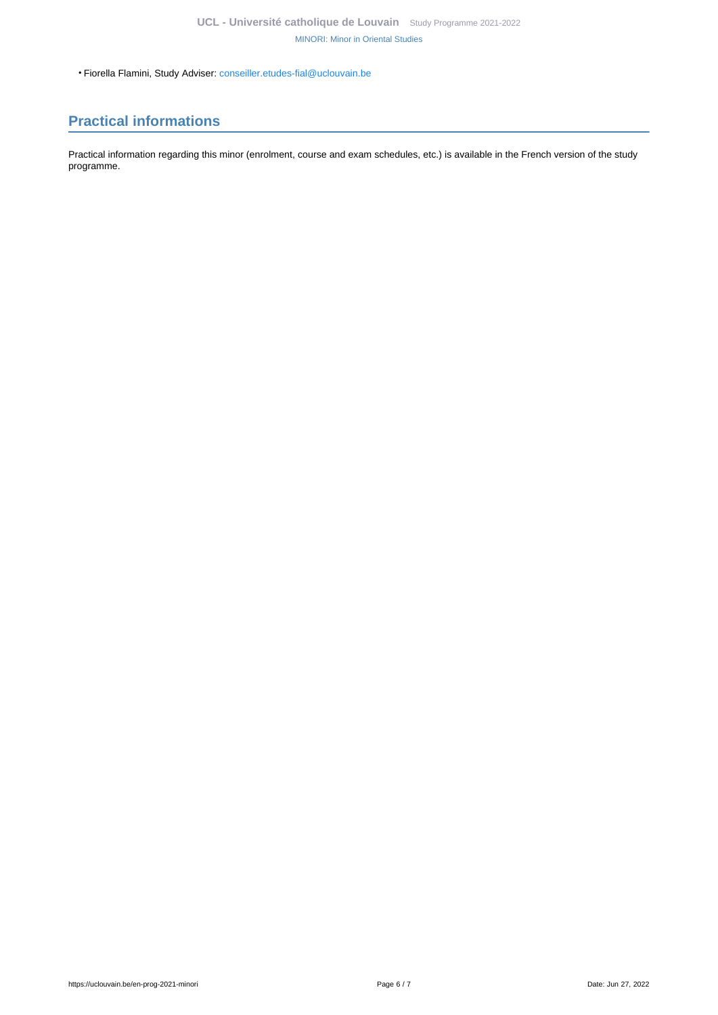• Fiorella Flamini, Study Adviser: [conseiller.etudes-fial@uclouvain.be](https://uclouvain.be/mailto:conseiller.etudes-fial@uclouvain.be)

# <span id="page-5-0"></span>**Practical informations**

Practical information regarding this minor (enrolment, course and exam schedules, etc.) is available in the French version of the study programme.